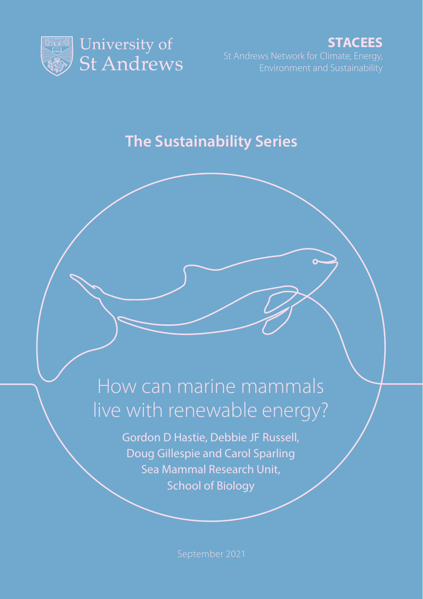

**STACEES**

## **The Sustainability Series**

# How can marine mammals live with renewable energy?

Gordon D Hastie, Debbie JF Russell, Doug Gillespie and Carol Sparling Sea Mammal Research Unit, School of Biology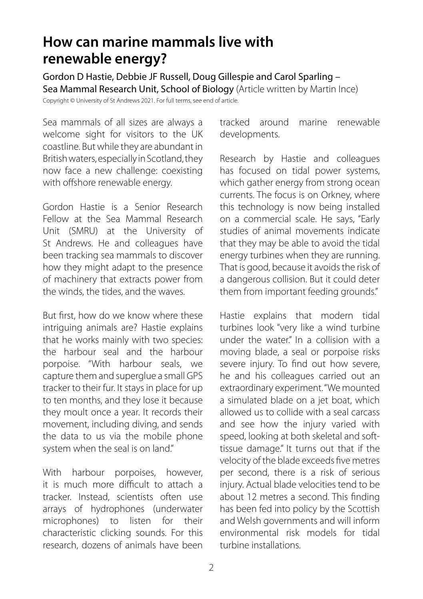## **How can marine mammals live with renewable energy?**

Gordon D Hastie, Debbie JF Russell, Doug Gillespie and Carol Sparling – Sea Mammal Research Unit, School of Biology (Article written by Martin Ince) Copyright © University of St Andrews 2021. For full terms, see end of article.

Sea mammals of all sizes are always a welcome sight for visitors to the UK

coastline. But while they are abundant in British waters, especially in Scotland, they now face a new challenge: coexisting with offshore renewable energy.

Gordon Hastie is a Senior Research Fellow at the Sea Mammal Research Unit (SMRU) at the University of St Andrews. He and colleagues have been tracking sea mammals to discover how they might adapt to the presence of machinery that extracts power from the winds, the tides, and the waves.

But first, how do we know where these intriguing animals are? Hastie explains that he works mainly with two species: the harbour seal and the harbour porpoise. "With harbour seals, we capture them and superglue a small GPS tracker to their fur. It stays in place for up to ten months, and they lose it because they moult once a year. It records their movement, including diving, and sends the data to us via the mobile phone system when the seal is on land."

With harbour porpoises, however, it is much more difficult to attach a tracker. Instead, scientists often use arrays of hydrophones (underwater microphones) to listen for their characteristic clicking sounds. For this research, dozens of animals have been tracked around marine renewable developments.

Research by Hastie and colleagues has focused on tidal power systems, which gather energy from strong ocean currents. The focus is on Orkney, where this technology is now being installed on a commercial scale. He says, "Early studies of animal movements indicate that they may be able to avoid the tidal energy turbines when they are running. That is good, because it avoids the risk of a dangerous collision. But it could deter them from important feeding grounds."

Hastie explains that modern tidal turbines look "very like a wind turbine under the water." In a collision with a moving blade, a seal or porpoise risks severe injury. To find out how severe, he and his colleagues carried out an extraordinary experiment. "We mounted a simulated blade on a jet boat, which allowed us to collide with a seal carcass and see how the injury varied with speed, looking at both skeletal and softtissue damage." It turns out that if the velocity of the blade exceeds five metres per second, there is a risk of serious injury. Actual blade velocities tend to be about 12 metres a second. This finding has been fed into policy by the Scottish and Welsh governments and will inform environmental risk models for tidal turbine installations.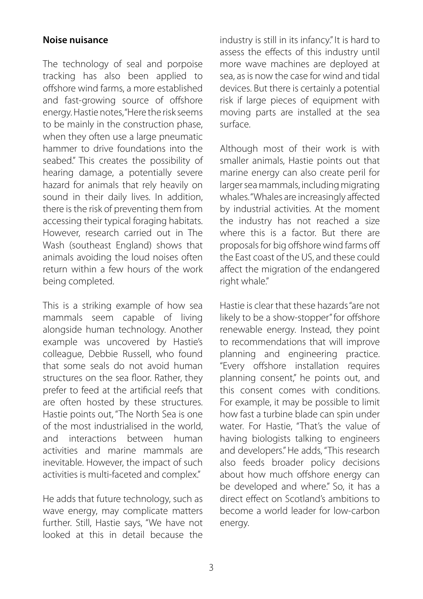#### **Noise nuisance**

The technology of seal and porpoise tracking has also been applied to offshore wind farms, a more established and fast-growing source of offshore energy. Hastie notes, "Here the risk seems to be mainly in the construction phase, when they often use a large pneumatic hammer to drive foundations into the seabed." This creates the possibility of hearing damage, a potentially severe hazard for animals that rely heavily on sound in their daily lives. In addition, there is the risk of preventing them from accessing their typical foraging habitats. However, research carried out in The Wash (southeast England) shows that animals avoiding the loud noises often return within a few hours of the work being completed.

This is a striking example of how sea mammals seem capable of living alongside human technology. Another example was uncovered by Hastie's colleague, Debbie Russell, who found that some seals do not avoid human structures on the sea floor. Rather, they prefer to feed at the artificial reefs that are often hosted by these structures. Hastie points out, "The North Sea is one of the most industrialised in the world, and interactions between human activities and marine mammals are inevitable. However, the impact of such activities is multi-faceted and complex."

He adds that future technology, such as wave energy, may complicate matters further. Still, Hastie says, "We have not looked at this in detail because the industry is still in its infancy." It is hard to assess the effects of this industry until more wave machines are deployed at sea, as is now the case for wind and tidal devices. But there is certainly a potential risk if large pieces of equipment with moving parts are installed at the sea surface.

Although most of their work is with smaller animals, Hastie points out that marine energy can also create peril for larger sea mammals, including migrating whales. "Whales are increasingly affected by industrial activities. At the moment the industry has not reached a size where this is a factor. But there are proposals for big offshore wind farms off the East coast of the US, and these could affect the migration of the endangered right whale."

Hastie is clear that these hazards "are not likely to be a show-stopper" for offshore renewable energy. Instead, they point to recommendations that will improve planning and engineering practice. "Every offshore installation requires planning consent," he points out, and this consent comes with conditions. For example, it may be possible to limit how fast a turbine blade can spin under water. For Hastie, "That's the value of having biologists talking to engineers and developers." He adds, "This research also feeds broader policy decisions about how much offshore energy can be developed and where." So, it has a direct effect on Scotland's ambitions to become a world leader for low-carbon energy.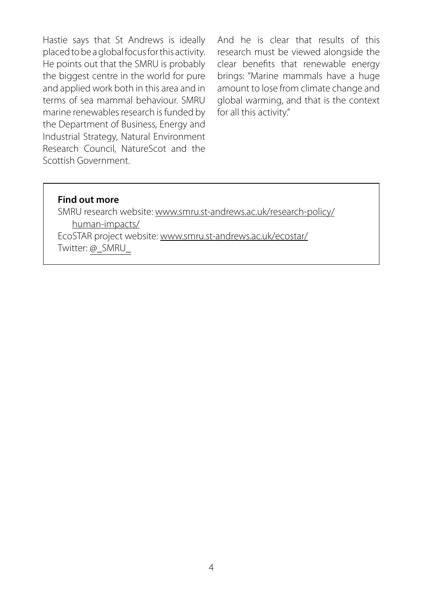Hastie says that St Andrews is ideally placed to be a global focus for this activity. He points out that the SMRU is probably the biggest centre in the world for pure and applied work both in this area and in terms of sea mammal behaviour. SMRU marine renewables research is funded by the Department of Business, Energy and Industrial Strategy, Natural Environment Research Council, NatureScot and the Scottish Government.

And he is clear that results of this research must be viewed alongside the clear benefits that renewable energy brings: "Marine mammals have a huge amount to lose from climate change and global warming, and that is the context for all this activity."

#### **Find out more**

SMRU research website: [www.smru.st-andrews.ac.uk/research-policy/](http://www.smru.st-andrews.ac.uk/research-policy/human-impacts/) [human-impacts/](http://www.smru.st-andrews.ac.uk/research-policy/human-impacts/) EcoSTAR project website: [www.smru.st-andrews.ac.uk/ecostar/](http://www.smru.st-andrews.ac.uk/ecostar/) Twitter: [@\\_SMRU\\_](https://twitter.com/_SMRU_)